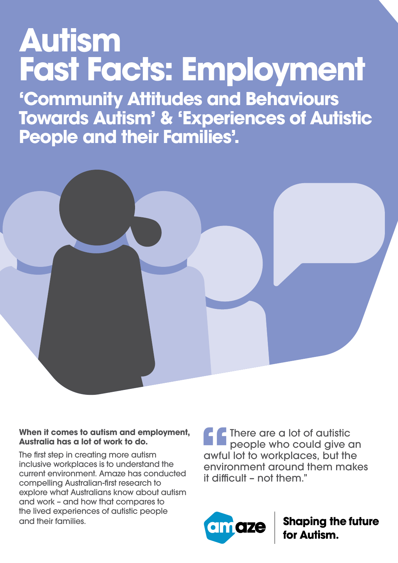# **Autism Fast Facts: Employment**

**'Community Attitudes and Behaviours Towards Autism' & 'Experiences of Autistic People and their Families'.**



## **When it comes to autism and employment, Australia has a lot of work to do.**

The first step in creating more autism inclusive workplaces is to understand the current environment. Amaze has conducted compelling Australian-first research to explore what Australians know about autism and work – and how that compares to the lived experiences of autistic people and their families.

**f**<br>
awful<br>
enviro<br>
it diffi **There are a lot of autistic** people who could give an awful lot to workplaces, but the environment around them makes it difficult – not them."



**Shaping the future<br>for Autism.**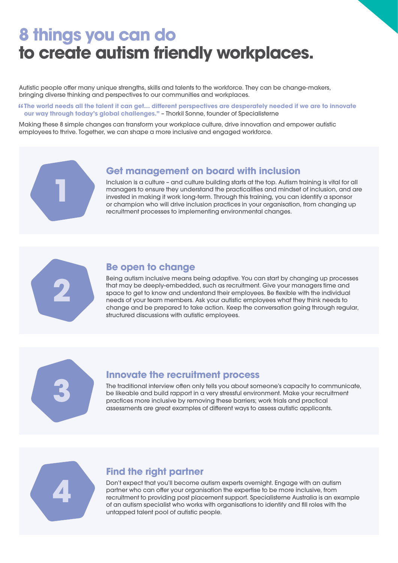# **8 things you can do to create autism friendly workplaces.**

Autistic people offer many unique strengths, skills and talents to the workforce. They can be change-makers, bringing diverse thinking and perspectives to our communities and workplaces.

" **The world needs all the talent it can get… different perspectives are desperately needed if we are to innovate our way through today's global challenges."** – Thorkil Sonne, founder of Specialisterne

Making these 8 simple changes can transform your workplace culture, drive innovation and empower autistic employees to thrive. Together, we can shape a more inclusive and engaged workforce.



#### **Get management on board with inclusion**

Inclusion is a culture – and culture building starts at the top. Autism training is vital for all managers to ensure they understand the practicalities and mindset of inclusion, and are invested in making it work long-term. Through this training, you can identify a sponsor or champion who will drive inclusion practices in your organisation, from changing up recruitment processes to implementing environmental changes.



### **Be open to change**

Being autism inclusive means being adaptive. You can start by changing up processes that may be deeply-embedded, such as recruitment. Give your managers time and space to get to know and understand their employees. Be flexible with the individual needs of your team members. Ask your autistic employees what they think needs to change and be prepared to take action. Keep the conversation going through regular, structured discussions with autistic employees.



#### **Innovate the recruitment process**

The traditional interview often only tells you about someone's capacity to communicate, be likeable and build rapport in a very stressful environment. Make your recruitment practices more inclusive by removing these barriers; work trials and practical assessments are great examples of different ways to assess autistic applicants.



### **Find the right partner**

Don't expect that you'll become autism experts overnight. Engage with an autism partner who can offer your organisation the expertise to be more inclusive, from recruitment to providing post placement support. Specialisterne Australia is an example of an autism specialist who works with organisations to identify and fill roles with the untapped talent pool of autistic people.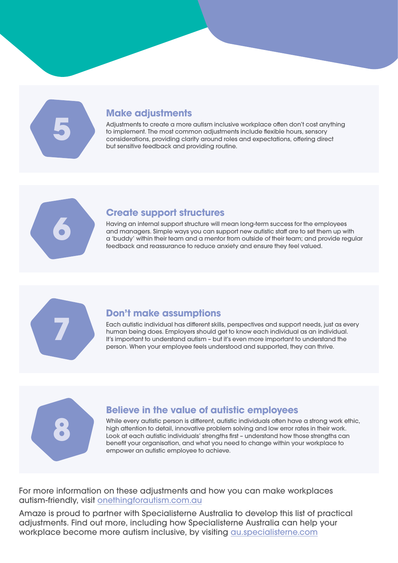**5**

# **Make adjustments**

Adjustments to create a more autism inclusive workplace often don't cost anything to implement. The most common adjustments include flexible hours, sensory considerations, providing clarity around roles and expectations, offering direct but sensitive feedback and providing routine.



## **Create support structures**

Having an internal support structure will mean long-term success for the employees and managers. Simple ways you can support new autistic staff are to set them up with a 'buddy' within their team and a mentor from outside of their team; and provide regular feedback and reassurance to reduce anxiety and ensure they feel valued.



# **Don't make assumptions**

Each autistic individual has different skills, perspectives and support needs, just as every human being does. Employers should get to know each individual as an individual. It's important to understand autism – but it's even more important to understand the person. When your employee feels understood and supported, they can thrive.



# **Believe in the value of autistic employees**

While every autistic person is different, autistic individuals often have a strong work ethic, high attention to detail, innovative problem solving and low error rates in their work. Look at each autistic individuals' strengths first – understand how those strengths can benefit your organisation, and what you need to change within your workplace to empower an autistic employee to achieve.

For more information on these adjustments and how you can make workplaces autism-friendly, visit onethingforautism.com.au

Amaze is proud to partner with Specialisterne Australia to develop this list of practical adjustments. Find out more, including how Specialisterne Australia can help your workplace become more autism inclusive, by visiting au.specialisterne.com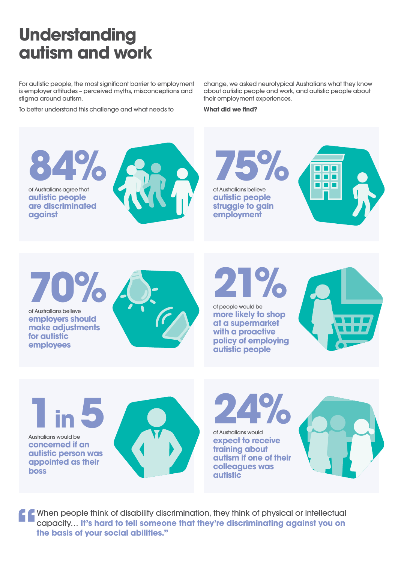# **Understanding autism and work**

For autistic people, the most significant barrier to employment is employer attitudes – perceived myths, misconceptions and stigma around autism.

To better understand this challenge and what needs to

change, we asked neurotypical Australians what they know about autistic people and work, and autistic people about their employment experiences.

**What did we find?**



Australians would be **concerned if an autistic person was appointed as their boss**



of Australians would **expect to receive training about autism if one of their colleagues was autistic**



**T** When people think of disability discrimination, they think of physical or intellectual capacity... It's hard to tell someone that they're discriminating against you on the basis of your social abilities." capacity… **It's hard to tell someone that they're discriminating against you on the basis of your social abilities."**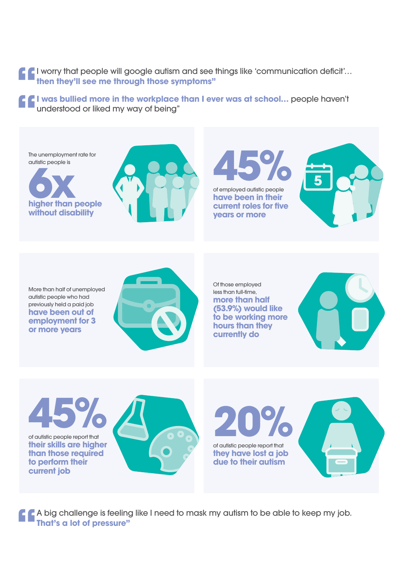**"** I worry that people will google autism and see things like 'communication deficit'… **then they'll see me through those symptoms"** 

**1 was bullied more in the workplace than I ever was at school...** people haven't understood or liked my way of being" understood or liked my way of being"



**45%** of autistic people report that **their skills are higher than those required to perform their current job** 



**20%** of autistic people report that **they have lost a job due to their autism** 



**"** A big challenge is feeling like I need to mask my autism to be able to keep my job.<br> **That's a lot of pressure" That's a lot of pressure"**